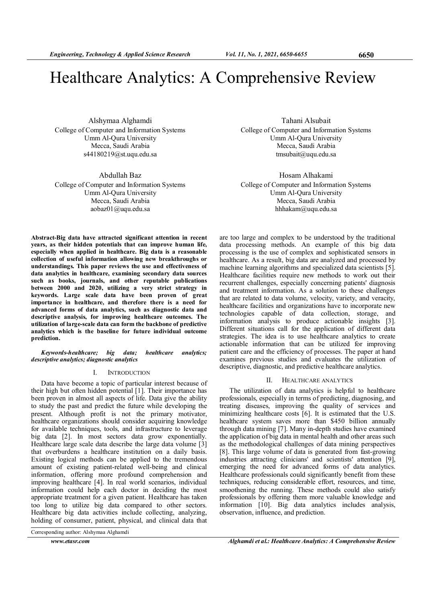# Healthcare Analytics: A Comprehensive Review

Alshymaa Alghamdi College of Computer and Information Systems Umm Al-Qura University Mecca, Saudi Arabia s44180219@st.uqu.edu.sa

Abdullah Baz

College of Computer and Information Systems Umm Al-Qura University Mecca, Saudi Arabia aobaz01@uqu.edu.sa

Abstract-Big data have attracted significant attention in recent years, as their hidden potentials that can improve human life, especially when applied in healthcare. Big data is a reasonable collection of useful information allowing new breakthroughs or understandings. This paper reviews the use and effectiveness of data analytics in healthcare, examining secondary data sources such as books, journals, and other reputable publications between 2000 and 2020, utilizing a very strict strategy in keywords. Large scale data have been proven of great importance in healthcare, and therefore there is a need for advanced forms of data analytics, such as diagnostic data and descriptive analysis, for improving healthcare outcomes. The utilization of large-scale data can form the backbone of predictive analytics which is the baseline for future individual outcome prediction.

Keywords-healthcare; big data; healthcare analytics; descriptive analytics; diagnostic analytics

## I. INTRODUCTION

Data have become a topic of particular interest because of their high but often hidden potential [1]. Their importance has been proven in almost all aspects of life. Data give the ability to study the past and predict the future while developing the present. Although profit is not the primary motivator, healthcare organizations should consider acquiring knowledge for available techniques, tools, and infrastructure to leverage big data [2]. In most sectors data grow exponentially. Healthcare large scale data describe the large data volume [3] that overburdens a healthcare institution on a daily basis. Existing logical methods can be applied to the tremendous amount of existing patient-related well-being and clinical information, offering more profound comprehension and improving healthcare [4]. In real world scenarios, individual information could help each doctor in deciding the most appropriate treatment for a given patient. Healthcare has taken too long to utilize big data compared to other sectors. Healthcare big data activities include collecting, analyzing, holding of consumer, patient, physical, and clinical data that

Corresponding author: Alshymaa Alghamdi

Tahani Alsubait College of Computer and Information Systems Umm Al-Qura University Mecca, Saudi Arabia tmsubait@uqu.edu.sa

Hosam Alhakami College of Computer and Information Systems Umm Al-Qura University Mecca, Saudi Arabia hhhakam@uqu.edu.sa

are too large and complex to be understood by the traditional data processing methods. An example of this big data processing is the use of complex and sophisticated sensors in healthcare. As a result, big data are analyzed and processed by machine learning algorithms and specialized data scientists [5]. Healthcare facilities require new methods to work out their recurrent challenges, especially concerning patients' diagnosis and treatment information. As a solution to these challenges that are related to data volume, velocity, variety, and veracity, healthcare facilities and organizations have to incorporate new technologies capable of data collection, storage, and information analysis to produce actionable insights [3]. Different situations call for the application of different data strategies. The idea is to use healthcare analytics to create actionable information that can be utilized for improving patient care and the efficiency of processes. The paper at hand examines previous studies and evaluates the utilization of descriptive, diagnostic, and predictive healthcare analytics.

#### II. HEALTHCARE ANALYTICS

The utilization of data analytics is helpful to healthcare professionals, especially in terms of predicting, diagnosing, and treating diseases, improving the quality of services and minimizing healthcare costs [6]. It is estimated that the U.S. healthcare system saves more than \$450 billion annually through data mining [7]. Many in-depth studies have examined the application of big data in mental health and other areas such as the methodological challenges of data mining perspectives [8]. This large volume of data is generated from fast-growing industries attracting clinicians' and scientists' attention [9], emerging the need for advanced forms of data analytics. Healthcare professionals could significantly benefit from these techniques, reducing considerable effort, resources, and time, smoothening the running. These methods could also satisfy professionals by offering them more valuable knowledge and information [10]. Big data analytics includes analysis, observation, influence, and prediction.

www.etasr.com Maghamdi et al.: Healthcare Analytics: A Comprehensive Review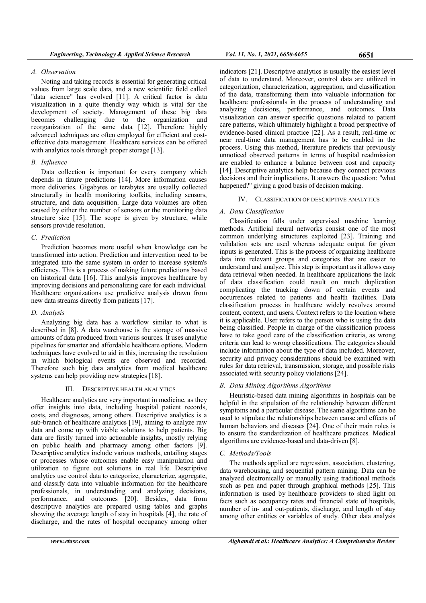# A. Observation

Noting and taking records is essential for generating critical values from large scale data, and a new scientific field called "data science" has evolved [11]. A critical factor is data visualization in a quite friendly way which is vital for the development of society. Management of these big data becomes challenging due to the organization and reorganization of the same data [12]. Therefore highly advanced techniques are often employed for efficient and costeffective data management. Healthcare services can be offered with analytics tools through proper storage [13].

# B. Influence

Data collection is important for every company which depends in future predictions [14]. More information causes more deliveries. Gigabytes or terabytes are usually collected structurally in health monitoring toolkits, including sensors, structure, and data acquisition. Large data volumes are often caused by either the number of sensors or the monitoring data structure size [15]. The scope is given by structure, while sensors provide resolution.

# C. Prediction

Prediction becomes more useful when knowledge can be transformed into action. Prediction and intervention need to be integrated into the same system in order to increase system's efficiency. This is a process of making future predictions based on historical data [16]. This analysis improves healthcare by improving decisions and personalizing care for each individual. Healthcare organizations use predictive analysis drawn from new data streams directly from patients [17].

# D. Analysis

Analyzing big data has a workflow similar to what is described in [8]. A data warehouse is the storage of massive amounts of data produced from various sources. It uses analytic pipelines for smarter and affordable healthcare options. Modern techniques have evolved to aid in this, increasing the resolution in which biological events are observed and recorded. Therefore such big data analytics from medical healthcare systems can help providing new strategies [18].

## III. DESCRIPTIVE HEALTH ANALYTICS

Healthcare analytics are very important in medicine, as they offer insights into data, including hospital patient records, costs, and diagnoses, among others. Descriptive analytics is a sub-branch of healthcare analytics [19], aiming to analyze raw data and come up with viable solutions to help patients. Big data are firstly turned into actionable insights, mostly relying on public health and pharmacy among other factors [9]. Descriptive analytics include various methods, entailing stages or processes whose outcomes enable easy manipulation and utilization to figure out solutions in real life. Descriptive analytics use control data to categorize, characterize, aggregate, and classify data into valuable information for the healthcare professionals, in understanding and analyzing decisions, performance, and outcomes [20]. Besides, data from descriptive analytics are prepared using tables and graphs showing the average length of stay in hospitals [4], the rate of discharge, and the rates of hospital occupancy among other

indicators [21]. Descriptive analytics is usually the easiest level of data to understand. Moreover, control data are utilized in categorization, characterization, aggregation, and classification of the data, transforming them into valuable information for healthcare professionals in the process of understanding and analyzing decisions, performance, and outcomes. Data visualization can answer specific questions related to patient care patterns, which ultimately highlight a broad perspective of evidence-based clinical practice [22]. As a result, real-time or near real-time data management has to be enabled in the process. Using this method, literature predicts that previously unnoticed observed patterns in terms of hospital readmission are enabled to enhance a balance between cost and capacity [14]. Descriptive analytics help because they connect previous decisions and their implications. It answers the question: "what happened?" giving a good basis of decision making.

## IV. CLASSIFICATION OF DESCRIPTIVE ANALYTICS

# A. Data Classification

Classification falls under supervised machine learning methods. Artificial neural networks consist one of the most common underlying structures exploited [23]. Training and validation sets are used whereas adequate output for given inputs is generated. This is the process of organizing healthcare data into relevant groups and categories that are easier to understand and analyze. This step is important as it allows easy data retrieval when needed. In healthcare applications the lack of data classification could result on much duplication complicating the tracking down of certain events and occurrences related to patients and health facilities. Data classification process in healthcare widely revolves around content, context, and users. Context refers to the location where it is applicable. User refers to the person who is using the data being classified. People in charge of the classification process have to take good care of the classification criteria, as wrong criteria can lead to wrong classifications. The categories should include information about the type of data included. Moreover, security and privacy considerations should be examined with rules for data retrieval, transmission, storage, and possible risks associated with security policy violations [24].

## B. Data Mining Algorithms Algorithms

Heuristic-based data mining algorithms in hospitals can be helpful in the stipulation of the relationship between different symptoms and a particular disease. The same algorithms can be used to stipulate the relationships between cause and effects of human behaviors and diseases [24]. One of their main roles is to ensure the standardization of healthcare practices. Medical algorithms are evidence-based and data-driven [8].

# C. Methods/Tools

The methods applied are regression, association, clustering, data warehousing, and sequential pattern mining. Data can be analyzed electronically or manually using traditional methods such as pen and paper through graphical methods [25]. This information is used by healthcare providers to shed light on facts such as occupancy rates and financial state of hospitals, number of in- and out-patients, discharge, and length of stay among other entities or variables of study. Other data analysis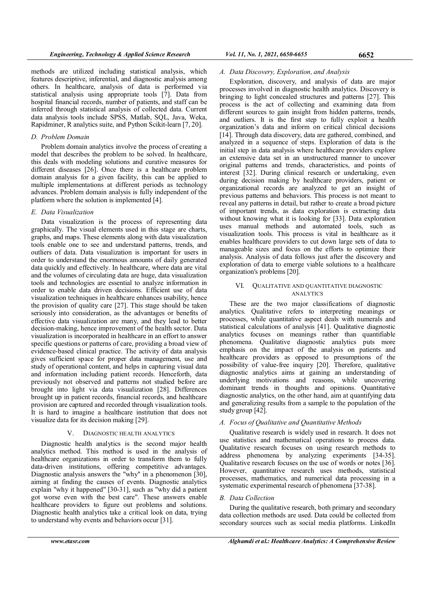methods are utilized including statistical analysis, which features descriptive, inferential, and diagnostic analysis among others. In healthcare, analysis of data is performed via statistical analysis using appropriate tools [7]. Data from hospital financial records, number of patients, and staff can be inferred through statistical analysis of collected data. Current data analysis tools include SPSS, Matlab, SQL, Java, Weka, Rapidminer, R analytics suite, and Python Scikit-learn [7, 20].

# D. Problem Domain

Problem domain analytics involve the process of creating a model that describes the problem to be solved. In healthcare, this deals with modeling solutions and curative measures for different diseases [26]. Once there is a healthcare problem domain analysis for a given facility, this can be applied to multiple implementations at different periods as technology advances. Problem domain analysis is fully independent of the platform where the solution is implemented [4].

# E. Data Visualization

Data visualization is the process of representing data graphically. The visual elements used in this stage are charts, graphs, and maps. These elements along with data visualization tools enable one to see and understand patterns, trends, and outliers of data. Data visualization is important for users in order to understand the enormous amounts of daily generated data quickly and effectively. In healthcare, where data are vital and the volumes of circulating data are huge, data visualization tools and technologies are essential to analyze information in order to enable data driven decisions. Efficient use of data visualization techniques in healthcare enhances usability, hence the provision of quality care [27]. This stage should be taken seriously into consideration, as the advantages or benefits of effective data visualization are many, and they lead to better decision-making, hence improvement of the health sector. Data visualization is incorporated in healthcare in an effort to answer specific questions or patterns of care, providing a broad view of evidence-based clinical practice. The activity of data analysis gives sufficient space for proper data management, use and study of operational content, and helps in capturing visual data and information including patient records. Henceforth, data previously not observed and patterns not studied before are brought into light via data visualization [28]. Differences brought up in patient records, financial records, and healthcare provision are captured and recorded through visualization tools. It is hard to imagine a healthcare institution that does not visualize data for its decision making [29].

# V. DIAGNOSTIC HEALTH ANALYTICS

Diagnostic health analytics is the second major health analytics method. This method is used in the analysis of healthcare organizations in order to transform them to fully data-driven institutions, offering competitive advantages. Diagnostic analysis answers the "why" in a phenomenon [30], aiming at finding the causes of events. Diagnostic analytics explain "why it happened" [30-31], such as "why did a patient got worse even with the best care". These answers enable healthcare providers to figure out problems and solutions. Diagnostic health analytics take a critical look on data, trying to understand why events and behaviors occur [31].

# A. Data Discovery, Exploration, and Analysis

Exploration, discovery, and analysis of data are major processes involved in diagnostic health analytics. Discovery is bringing to light concealed structures and patterns [27]. This process is the act of collecting and examining data from different sources to gain insight from hidden patterns, trends, and outliers. It is the first step to fully exploit a health organization's data and inform on critical clinical decisions [14]. Through data discovery, data are gathered, combined, and analyzed in a sequence of steps. Exploration of data is the initial step in data analysis where healthcare providers explore an extensive data set in an unstructured manner to uncover original patterns and trends, characteristics, and points of interest [32]. During clinical research or undertaking, even during decision making by healthcare providers, patient or organizational records are analyzed to get an insight of previous patterns and behaviors. This process is not meant to reveal any patterns in detail, but rather to create a broad picture of important trends, as data exploration is extracting data without knowing what it is looking for [33]. Data exploration uses manual methods and automated tools, such as visualization tools. This process is vital in healthcare as it enables healthcare providers to cut down large sets of data to manageable sizes and focus on the efforts to optimize their analysis. Analysis of data follows just after the discovery and exploration of data to emerge viable solutions to a healthcare organization's problems [20].

# VI. QUALITATIVE AND QUANTITATIVE DIAGNOSTIC ANALYTICS

These are the two major classifications of diagnostic analytics. Qualitative refers to interpreting meanings or processes, while quantitative aspect deals with numerals and statistical calculations of analysis [41]. Qualitative diagnostic analytics focuses on meanings rather than quantifiable phenomena. Qualitative diagnostic analytics puts more emphasis on the impact of the analysis on patients and healthcare providers as opposed to presumptions of the possibility of value-free inquiry [20]. Therefore, qualitative diagnostic analytics aims at gaining an understanding of underlying motivations and reasons, while uncovering dominant trends in thoughts and opinions. Quantitative diagnostic analytics, on the other hand, aim at quantifying data and generalizing results from a sample to the population of the study group [42].

# A. Focus of Qualitative and Quantitative Methods

Qualitative research is widely used in research. It does not use statistics and mathematical operations to process data. Qualitative research focuses on using research methods to address phenomena by analyzing experiments [34-35]. Qualitative research focuses on the use of words or notes [36]. However, quantitative research uses methods, statistical processes, mathematics, and numerical data processing in a systematic experimental research of phenomena [37-38].

# B. Data Collection

During the qualitative research, both primary and secondary data collection methods are used. Data could be collected from secondary sources such as social media platforms. LinkedIn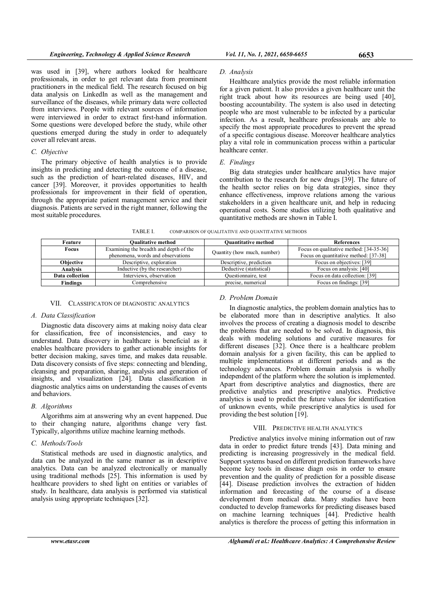was used in [39], where authors looked for healthcare professionals, in order to get relevant data from prominent practitioners in the medical field. The research focused on big data analysis on LinkedIn as well as the management and surveillance of the diseases, while primary data were collected from interviews. People with relevant sources of information were interviewed in order to extract first-hand information. Some questions were developed before the study, while other questions emerged during the study in order to adequately cover all relevant areas.

## C. Objective

The primary objective of health analytics is to provide insights in predicting and detecting the outcome of a disease, such as the prediction of heart-related diseases, HIV, and cancer [39]. Moreover, it provides opportunities to health professionals for improvement in their field of operation, through the appropriate patient management service and their diagnosis. Patients are served in the right manner, following the most suitable procedures.

# D. Analysis

Healthcare analytics provide the most reliable information for a given patient. It also provides a given healthcare unit the right track about how its resources are being used [40], boosting accountability. The system is also used in detecting people who are most vulnerable to be infected by a particular infection. As a result, healthcare professionals are able to specify the most appropriate procedures to prevent the spread of a specific contagious disease. Moreover healthcare analytics play a vital role in communication process within a particular healthcare center.

#### E. Findings

Big data strategies under healthcare analytics have major contribution to the research for new drugs [39]. The future of the health sector relies on big data strategies, since they enhance effectiveness, improve relations among the various stakeholders in a given healthcare unit, and help in reducing operational costs. Some studies utilizing both qualitative and quantitative methods are shown in Table I.

TABLE I. COMPARISON OF QUALITATIVE AND QUANTITATIVE METHODS

| Feature          | <b>Oualitative method</b>                                                   | <b>Ouantitative method</b>  | <b>References</b>                                                                |
|------------------|-----------------------------------------------------------------------------|-----------------------------|----------------------------------------------------------------------------------|
| <b>Focus</b>     | Examining the breadth and depth of the<br>phenomena, words and observations | Quantity (how much, number) | Focus on qualitative method: [34-35-36]<br>Focus on quantitative method: [37-38] |
| <b>Objective</b> | Descriptive, exploration                                                    | Descriptive, prediction     | Focus on objectives: [39]                                                        |
| <b>Analysis</b>  | Inductive (by the researcher)                                               | Deductive (statistical)     | Focus on analysis: [40]                                                          |
| Data collection  | Interviews, observation                                                     | Questionnaire, test         | Focus on data collection: [39]                                                   |
| Findings         | Comprehensive                                                               | precise, numerical          | Focus on findings: [39]                                                          |

## VII. CLASSIFICATON OF DIAGNOSTIC ANALYTICS

## A. Data Classification

Diagnostic data discovery aims at making noisy data clear for classification, free of inconsistencies, and easy to understand. Data discovery in healthcare is beneficial as it enables healthcare providers to gather actionable insights for better decision making, saves time, and makes data reusable. Data discovery consists of five steps: connecting and blending, cleansing and preparation, sharing, analysis and generation of insights, and visualization [24]. Data classification in diagnostic analytics aims on understanding the causes of events and behaviors.

## B. Algorithms

Algorithms aim at answering why an event happened. Due to their changing nature, algorithms change very fast. Typically, algorithms utilize machine learning methods.

## C. Methods/Tools

Statistical methods are used in diagnostic analytics, and data can be analyzed in the same manner as in descriptive analytics. Data can be analyzed electronically or manually using traditional methods [25]. This information is used by healthcare providers to shed light on entities or variables of study. In healthcare, data analysis is performed via statistical analysis using appropriate techniques [32].

## D. Problem Domain

In diagnostic analytics, the problem domain analytics has to be elaborated more than in descriptive analytics. It also involves the process of creating a diagnosis model to describe the problems that are needed to be solved. In diagnosis, this deals with modeling solutions and curative measures for different diseases [32]. Once there is a healthcare problem domain analysis for a given facility, this can be applied to multiple implementations at different periods and as the technology advances. Problem domain analysis is wholly independent of the platform where the solution is implemented. Apart from descriptive analytics and diagnostics, there are predictive analytics and prescriptive analytics. Predictive analytics is used to predict the future values for identification of unknown events, while prescriptive analytics is used for providing the best solution [19].

## VIII. PREDICTIVE HEALTH ANALYTICS

Predictive analytics involve mining information out of raw data in order to predict future trends [43]. Data mining and predicting is increasing progressively in the medical field. Support systems based on different prediction frameworks have become key tools in disease diagn osis in order to ensure prevention and the quality of prediction for a possible disease [44]. Disease prediction involves the extraction of hidden information and forecasting of the course of a disease development from medical data. Many studies have been conducted to develop frameworks for predicting diseases based on machine learning techniques [44]. Predictive health analytics is therefore the process of getting this information in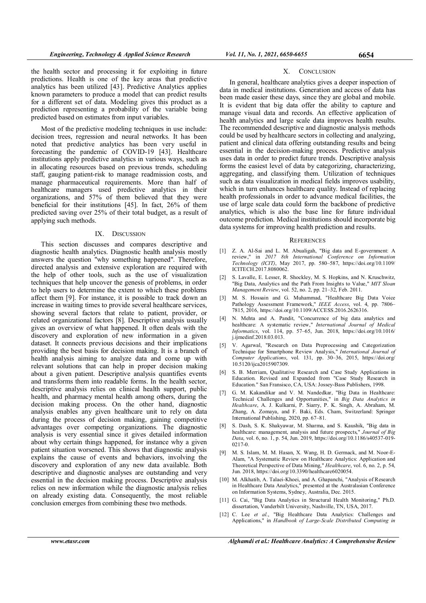the health sector and processing it for exploiting in future predictions. Health is one of the key areas that predictive analytics has been utilized [43]. Predictive Analytics applies known parameters to produce a model that can predict results for a different set of data. Modeling gives this product as a prediction representing a probability of the variable being predicted based on estimates from input variables.

Most of the predictive modeling techniques in use include: decision trees, regression and neural networks. It has been noted that predictive analytics has been very useful in forecasting the pandemic of COVID-19 [43]. Healthcare institutions apply predictive analytics in various ways, such as in allocating resources based on previous trends, scheduling staff, gauging patient-risk to manage readmission costs, and manage pharmaceutical requirements. More than half of healthcare managers used predictive analytics in their organizations, and 57% of them believed that they were beneficial for their institutions [45]. In fact, 26% of them predicted saving over 25% of their total budget, as a result of applying such methods.

## IX. DISCUSSION

This section discusses and compares descriptive and diagnostic health analytics. Diagnostic health analysis mostly answers the question "why something happened". Therefore, directed analysis and extensive exploration are required with the help of other tools, such as the use of visualization techniques that help uncover the genesis of problems, in order to help users to determine the extent to which these problems affect them [9]. For instance, it is possible to track down an increase in waiting times to provide several healthcare services, showing several factors that relate to patient, provider, or related organizational factors [8]. Descriptive analysis usually gives an overview of what happened. It often deals with the discovery and exploration of new information in a given dataset. It connects previous decisions and their implications providing the best basis for decision making. It is a branch of health analysis aiming to analyze data and come up with relevant solutions that can help in proper decision making about a given patient. Descriptive analysis quantifies events and transforms them into readable forms. In the health sector, descriptive analysis relies on clinical health support, public health, and pharmacy mental health among others, during the decision making process. On the other hand, diagnostic analysis enables any given healthcare unit to rely on data during the process of decision making, gaining competitive advantages over competing organizations. The diagnostic analysis is very essential since it gives detailed information about why certain things happened, for instance why a given patient situation worsened. This shows that diagnostic analysis explains the cause of events and behaviors, involving the discovery and exploration of any new data available. Both descriptive and diagnostic analyses are outstanding and very essential in the decision making process. Descriptive analysis relies on new information while the diagnostic analysis relies on already existing data. Consequently, the most reliable conclusion emerges from combining these two methods.

## X. CONCLUSION

In general, healthcare analytics gives a deeper inspection of data in medical institutions. Generation and access of data has been made easier these days, since they are global and mobile. It is evident that big data offer the ability to capture and manage visual data and records. An effective application of health analytics and large scale data improves health results. The recommended descriptive and diagnostic analysis methods could be used by healthcare sectors in collecting and analyzing, patient and clinical data offering outstanding results and being essential in the decision-making process. Predictive analysis uses data in order to predict future trends. Descriptive analysis forms the easiest level of data by categorizing, characterizing, aggregating, and classifying them. Utilization of techniques such as data visualization in medical fields improves usability, which in turn enhances healthcare quality. Instead of replacing health professionals in order to advance medical facilities, the use of large scale data could form the backbone of predictive analytics, which is also the base line for future individual outcome prediction. Medical institutions should incorporate big data systems for improving health prediction and results.

#### **REFERENCES**

- [1] Z. A. Al-Sai and L. M. Abualigah, "Big data and E-government: A review," in 2017 8th International Conference on Information Technology (ICIT), May 2017, pp. 580–587, https://doi.org/10.1109/ ICITECH.2017.8080062.
- [2] S. Lavalle, E. Lesser, R. Shockley, M. S. Hopkins, and N. Kruschwitz, "Big Data, Analytics and the Path From Insights to Value," MIT Sloan Management Review, vol. 52, no. 2, pp. 21–32, Feb. 2011.
- [3] M. S. Hossain and G. Muhammad, "Healthcare Big Data Voice Pathology Assessment Framework," IEEE Access, vol. 4, pp. 7806– 7815, 2016, https://doi.org/10.1109/ACCESS.2016.2626316.
- [4] N. Mehta and A. Pandit, "Concurrence of big data analytics and healthcare: A systematic review," International Journal of Medical Informatics, vol. 114, pp. 57–65, Jun. 2018, https://doi.org/10.1016/ j.ijmedinf.2018.03.013.
- [5] V. Agarwal, "Research on Data Preprocessing and Categorization Technique for Smartphone Review Analysis," International Journal of Computer Applications, vol. 131, pp. 30-36, 2015, https://doi.org/ 10.5120/ijca2015907309.
- [6] S. B. Merriam, Qualitative Research and Case Study Applications in Education. Revised and Expanded from "Case Study Research in Education." San Fransisco, CA, USA: Jossey-Bass Publishers, 1998.
- [7] G. M. Kakandikar and V. M. Nandedkar, "Big Data in Healthcare: Technical Challenges and Opportunities," in Big Data Analytics in Healthcare, A. J. Kulkarni, P. Siarry, P. K. Singh, A. Abraham, M. Zhang, A. Zomaya, and F. Baki, Eds. Cham, Switzerland: Springer International Publishing, 2020, pp. 67–81.
- [8] S. Dash, S. K. Shakyawar, M. Sharma, and S. Kaushik, "Big data in healthcare: management, analysis and future prospects," Journal of Big Data, vol. 6, no. 1, p. 54, Jun. 2019, https://doi.org/10.1186/s40537-019- 0217-0.
- [9] M. S. Islam, M. M. Hasan, X. Wang, H. D. Germack, and M. Noor-E-Alam, "A Systematic Review on Healthcare Analytics: Application and Theoretical Perspective of Data Mining," Healthcare, vol. 6, no. 2, p. 54, Jun. 2018, https://doi.org/10.3390/healthcare6020054.
- [10] M. Alkhatib, A. Talaei-Khoei, and A. Ghapanchi, "Analysis of Research in Healthcare Data Analytics," presented at the Australasian Conference on Information Systems, Sydney, Australia, Dec. 2015.
- [11] G. Cai, "Big Data Analytics in Structural Health Monitoring," Ph.D. dissertation, Vanderbilt University, Nashville, TN, USA, 2017.
- [12] C. Lee et al., "Big Healthcare Data Analytics: Challenges and Applications," in Handbook of Large-Scale Distributed Computing in